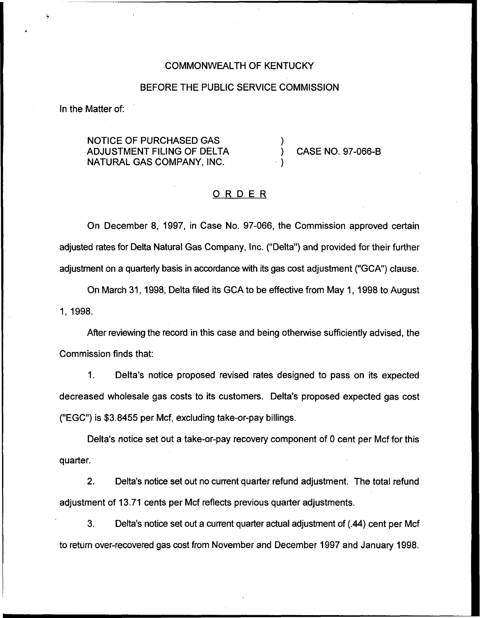#### COMMONWEALTH OF KENTUCKY

#### BEFORE THE PUBLIC SERVICE COMMISSION

In the Matter of:

NOTICE OF PURCHASED GAS ADJUSTMENT FILING OF DELTA NATURAL GAS COMPANY, INC.

) CASE NO. 97-066-B

### ORDER

)

)

On December 8, 1997, in Case No. 97-066, the Commission approved certain adjusted rates for Delta Natural Gas Company, Inc. ("Delta") and provided for their further adjustment on a quarterly basis in accordance with its gas cost adjustment ("GCA") clause.

On March 31, 1998, Delta filed its GCA to be effective from May 1, 1998 to August 1, 1998.

After reviewing the record in this case and being otherwise sufficiently advised, the Commission finds that:

 $1.$ Delta's notice proposed revised rates designed to pass on its expected decreased wholesale gas costs to its customers. Delta's proposed expected gas cost ("EGC") is \$3.8455 per Mcf, excluding take-or-pay billings.

Delta's notice set out a take-or-pay recovery component of 0 cent per Mcf for this quarter.

2. Delta's notice set out no current quarter refund adjustment. The total refund adjustment of 13.71 cents per Mcf reflects previous quarter adjustments.

3. Delta's notice set out a current quarter actual adjustment of (.44) cent per Mcf to return over-recovered gas cost from November and December 1997 and January 1998.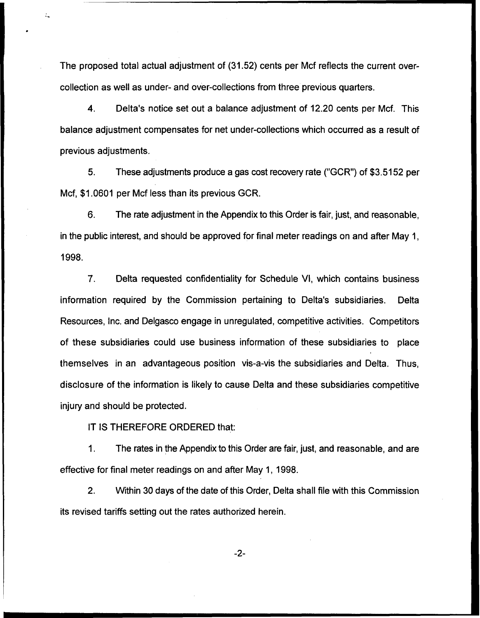The proposed total actual adjustment of (31.52) cents per Mcf reflects the current overcollection as well as under- and over-collections from three previous quarters.

4. Delta's notice set out a balance adjustment of 12.20 cents per Mcf. This balance adjustment compensates for net under-collections which occurred as a result of previous adjustments.

5. These adjustments produce a gas cost recovery rate ("GCR") of \$3.5152 per Mcf, \$1.0601 per Mcf less than its previous GCR.

6. The rate adjustment in the Appendix to this Order is fair, just, and reasonable, in the public interest, and should be approved for final meter readings on and after May 1, 1998.

7. Delta requested confidentiality for Schedule VI, which contains business information required by the Commission pertaining to Delta's subsidiaries. Delta Resources, Inc. and Delgasco engage in unregulated, competitive activities. Competitors of these subsidiaries could use business information of these subsidiaries to place themselves in an advantageous position vis-a-vis the subsidiaries and Delta. Thus, disclosure of the information is likely to cause Delta and these subsidiaries competitive injury and should be protected.

IT IS THEREFORE ORDERED that:

1. The rates in the Appendix to this Order are fair, just, and reasonable, and are effective for final meter readings on and after May 1, 1998.

2. Within 30 days of the date of this Order, Delta shall file with this Commission its revised tariffs setting out the rates authorized herein.

 $-2-$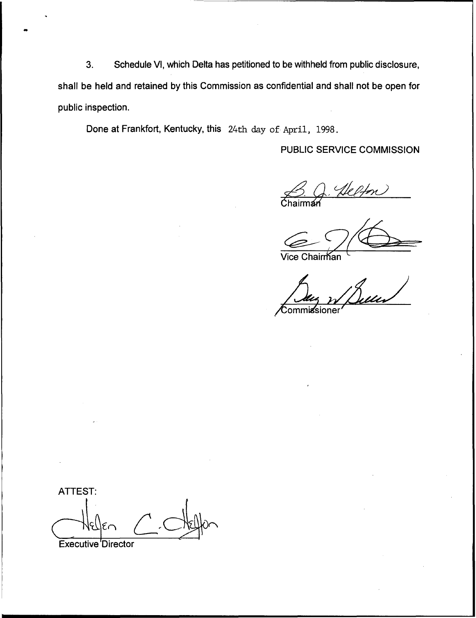3. Schedule Vl, which Delta has petitioned to be withheld from public disclosure, shall be held and retained by this Commission as confidential and shall not be open for public inspection.

Done at Frankfort, Kentucky, this 24th day of April, 1998.

# PUBLIC SERVICE COMMISSION

Chairma B. Q. Helfon

Vice Chairman

Commissioner

ATTEST Executive 'Director